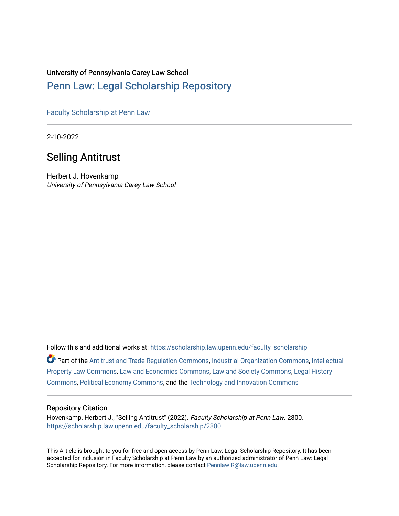## University of Pennsylvania Carey Law School

# [Penn Law: Legal Scholarship Repository](https://scholarship.law.upenn.edu/)

[Faculty Scholarship at Penn Law](https://scholarship.law.upenn.edu/faculty_scholarship)

2-10-2022

# Selling Antitrust

Herbert J. Hovenkamp University of Pennsylvania Carey Law School

Follow this and additional works at: [https://scholarship.law.upenn.edu/faculty\\_scholarship](https://scholarship.law.upenn.edu/faculty_scholarship?utm_source=scholarship.law.upenn.edu%2Ffaculty_scholarship%2F2800&utm_medium=PDF&utm_campaign=PDFCoverPages) 

Part of the [Antitrust and Trade Regulation Commons,](http://network.bepress.com/hgg/discipline/911?utm_source=scholarship.law.upenn.edu%2Ffaculty_scholarship%2F2800&utm_medium=PDF&utm_campaign=PDFCoverPages) [Industrial Organization Commons](http://network.bepress.com/hgg/discipline/347?utm_source=scholarship.law.upenn.edu%2Ffaculty_scholarship%2F2800&utm_medium=PDF&utm_campaign=PDFCoverPages), [Intellectual](http://network.bepress.com/hgg/discipline/896?utm_source=scholarship.law.upenn.edu%2Ffaculty_scholarship%2F2800&utm_medium=PDF&utm_campaign=PDFCoverPages) [Property Law Commons](http://network.bepress.com/hgg/discipline/896?utm_source=scholarship.law.upenn.edu%2Ffaculty_scholarship%2F2800&utm_medium=PDF&utm_campaign=PDFCoverPages), [Law and Economics Commons](http://network.bepress.com/hgg/discipline/612?utm_source=scholarship.law.upenn.edu%2Ffaculty_scholarship%2F2800&utm_medium=PDF&utm_campaign=PDFCoverPages), [Law and Society Commons,](http://network.bepress.com/hgg/discipline/853?utm_source=scholarship.law.upenn.edu%2Ffaculty_scholarship%2F2800&utm_medium=PDF&utm_campaign=PDFCoverPages) [Legal History](http://network.bepress.com/hgg/discipline/904?utm_source=scholarship.law.upenn.edu%2Ffaculty_scholarship%2F2800&utm_medium=PDF&utm_campaign=PDFCoverPages)  [Commons](http://network.bepress.com/hgg/discipline/904?utm_source=scholarship.law.upenn.edu%2Ffaculty_scholarship%2F2800&utm_medium=PDF&utm_campaign=PDFCoverPages), [Political Economy Commons](http://network.bepress.com/hgg/discipline/352?utm_source=scholarship.law.upenn.edu%2Ffaculty_scholarship%2F2800&utm_medium=PDF&utm_campaign=PDFCoverPages), and the [Technology and Innovation Commons](http://network.bepress.com/hgg/discipline/644?utm_source=scholarship.law.upenn.edu%2Ffaculty_scholarship%2F2800&utm_medium=PDF&utm_campaign=PDFCoverPages)

#### Repository Citation

Hovenkamp, Herbert J., "Selling Antitrust" (2022). Faculty Scholarship at Penn Law. 2800. [https://scholarship.law.upenn.edu/faculty\\_scholarship/2800](https://scholarship.law.upenn.edu/faculty_scholarship/2800?utm_source=scholarship.law.upenn.edu%2Ffaculty_scholarship%2F2800&utm_medium=PDF&utm_campaign=PDFCoverPages)

This Article is brought to you for free and open access by Penn Law: Legal Scholarship Repository. It has been accepted for inclusion in Faculty Scholarship at Penn Law by an authorized administrator of Penn Law: Legal Scholarship Repository. For more information, please contact [PennlawIR@law.upenn.edu.](mailto:PennlawIR@law.upenn.edu)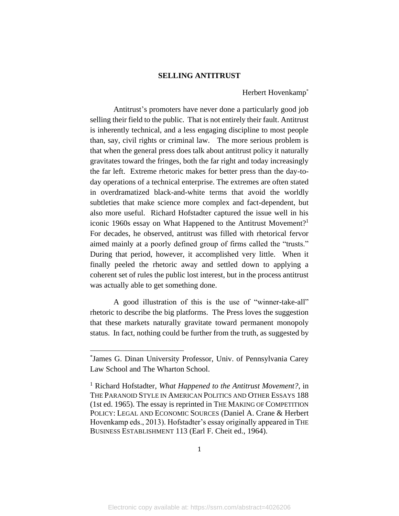#### **SELLING ANTITRUST**

## Herbert Hovenkamp\*

Antitrust's promoters have never done a particularly good job selling their field to the public. That is not entirely their fault. Antitrust is inherently technical, and a less engaging discipline to most people than, say, civil rights or criminal law. The more serious problem is that when the general press does talk about antitrust policy it naturally gravitates toward the fringes, both the far right and today increasingly the far left. Extreme rhetoric makes for better press than the day-today operations of a technical enterprise. The extremes are often stated in overdramatized black-and-white terms that avoid the worldly subtleties that make science more complex and fact-dependent, but also more useful. Richard Hofstadter captured the issue well in his iconic 1960s essay on What Happened to the Antitrust Movement?<sup>1</sup> For decades, he observed, antitrust was filled with rhetorical fervor aimed mainly at a poorly defined group of firms called the "trusts." During that period, however, it accomplished very little. When it finally peeled the rhetoric away and settled down to applying a coherent set of rules the public lost interest, but in the process antitrust was actually able to get something done.

A good illustration of this is the use of "winner-take-all" rhetoric to describe the big platforms. The Press loves the suggestion that these markets naturally gravitate toward permanent monopoly status. In fact, nothing could be further from the truth, as suggested by

<sup>\*</sup> James G. Dinan University Professor, Univ. of Pennsylvania Carey Law School and The Wharton School.

<sup>1</sup> Richard Hofstadter, *What Happened to the Antitrust Movement?*, in THE PARANOID STYLE IN AMERICAN POLITICS AND OTHER ESSAYS 188 (1st ed. 1965). The essay is reprinted in THE MAKING OF COMPETITION POLICY: LEGAL AND ECONOMIC SOURCES (Daniel A. Crane & Herbert Hovenkamp eds., 2013). Hofstadter's essay originally appeared in THE BUSINESS ESTABLISHMENT 113 (Earl F. Cheit ed., 1964).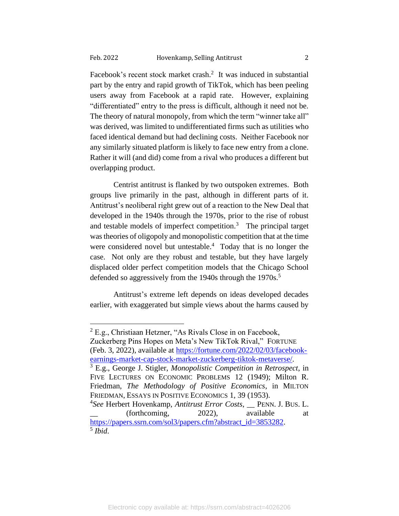Facebook's recent stock market crash.<sup>2</sup> It was induced in substantial part by the entry and rapid growth of TikTok, which has been peeling users away from Facebook at a rapid rate. However, explaining "differentiated" entry to the press is difficult, although it need not be. The theory of natural monopoly, from which the term "winner take all" was derived, was limited to undifferentiated firms such as utilities who faced identical demand but had declining costs. Neither Facebook nor any similarly situated platform is likely to face new entry from a clone. Rather it will (and did) come from a rival who produces a different but overlapping product.

Centrist antitrust is flanked by two outspoken extremes. Both groups live primarily in the past, although in different parts of it. Antitrust's neoliberal right grew out of a reaction to the New Deal that developed in the 1940s through the 1970s, prior to the rise of robust and testable models of imperfect competition.<sup>3</sup> The principal target wastheories of oligopoly and monopolistic competition that at the time were considered novel but untestable.<sup>4</sup> Today that is no longer the case. Not only are they robust and testable, but they have largely displaced older perfect competition models that the Chicago School defended so aggressively from the 1940s through the 1970s.<sup>5</sup>

Antitrust's extreme left depends on ideas developed decades earlier, with exaggerated but simple views about the harms caused by

Zuckerberg Pins Hopes on Meta's New TikTok Rival," FORTUNE (Feb. 3, 2022), available at [https://fortune.com/2022/02/03/facebook](https://fortune.com/2022/02/03/facebook-earnings-market-cap-stock-market-zuckerberg-tiktok-metaverse/)[earnings-market-cap-stock-market-zuckerberg-tiktok-metaverse/.](https://fortune.com/2022/02/03/facebook-earnings-market-cap-stock-market-zuckerberg-tiktok-metaverse/)

<sup>&</sup>lt;sup>2</sup> E.g., Christiaan Hetzner, "As Rivals Close in on Facebook,

<sup>3</sup> E.g., George J. Stigler, *Monopolistic Competition in Retrospect*, in FIVE LECTURES ON ECONOMIC PROBLEMS 12 (1949); Milton R. Friedman, *The Methodology of Positive Economics*, in MILTON FRIEDMAN, ESSAYS IN POSITIVE ECONOMICS 1, 39 (1953).

<sup>4</sup> *See* Herbert Hovenkamp, *Antitrust Error Costs*, \_\_ PENN. J. BUS. L. \_\_ (forthcoming, 2022), available at [https://papers.ssrn.com/sol3/papers.cfm?abstract\\_id=3853282.](https://papers.ssrn.com/sol3/papers.cfm?abstract_id=3853282) 5 *Ibid*.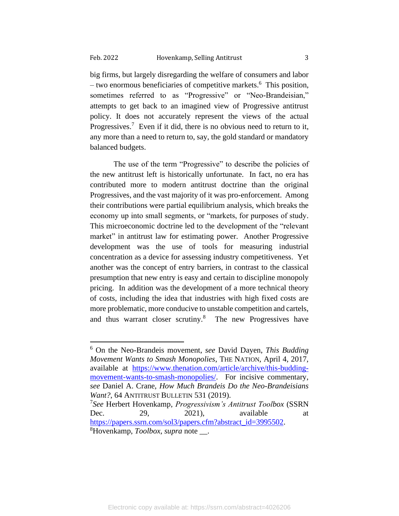big firms, but largely disregarding the welfare of consumers and labor – two enormous beneficiaries of competitive markets.<sup>6</sup> This position, sometimes referred to as "Progressive" or "Neo-Brandeisian," attempts to get back to an imagined view of Progressive antitrust policy. It does not accurately represent the views of the actual Progressives.<sup>7</sup> Even if it did, there is no obvious need to return to it, any more than a need to return to, say, the gold standard or mandatory balanced budgets.

The use of the term "Progressive" to describe the policies of the new antitrust left is historically unfortunate. In fact, no era has contributed more to modern antitrust doctrine than the original Progressives, and the vast majority of it was pro-enforcement. Among their contributions were partial equilibrium analysis, which breaks the economy up into small segments, or "markets, for purposes of study. This microeconomic doctrine led to the development of the "relevant market" in antitrust law for estimating power. Another Progressive development was the use of tools for measuring industrial concentration as a device for assessing industry competitiveness. Yet another was the concept of entry barriers, in contrast to the classical presumption that new entry is easy and certain to discipline monopoly pricing. In addition was the development of a more technical theory of costs, including the idea that industries with high fixed costs are more problematic, more conducive to unstable competition and cartels, and thus warrant closer scrutiny.<sup>8</sup> The new Progressives have

7 *See* Herbert Hovenkamp, *Progressivism's Antitrust Toolbox* (SSRN Dec. 29, 2021), available at [https://papers.ssrn.com/sol3/papers.cfm?abstract\\_id=3995502.](https://papers.ssrn.com/sol3/papers.cfm?abstract_id=3995502) <sup>8</sup>Hovenkamp, *Toolbox*, *supra* note \_\_.

<sup>6</sup> On the Neo-Brandeis movement, *see* David Dayen, *This Budding Movement Wants to Smash Monopolies*, THE NATION, April 4, 2017, available at [https://www.thenation.com/article/archive/this-budding](https://www.thenation.com/article/archive/this-budding-movement-wants-to-smash-monopolies/)[movement-wants-to-smash-monopolies/.](https://www.thenation.com/article/archive/this-budding-movement-wants-to-smash-monopolies/) For incisive commentary, *see* Daniel A. Crane, *How Much Brandeis Do the Neo-Brandeisians Want?*, 64 ANTITRUST BULLETIN 531 (2019).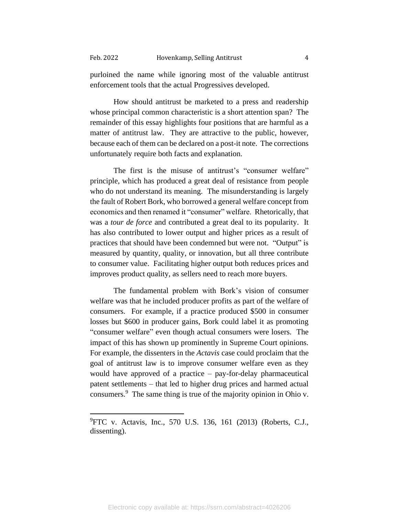purloined the name while ignoring most of the valuable antitrust enforcement tools that the actual Progressives developed.

How should antitrust be marketed to a press and readership whose principal common characteristic is a short attention span? The remainder of this essay highlights four positions that are harmful as a matter of antitrust law. They are attractive to the public, however, because each of them can be declared on a post-it note. The corrections unfortunately require both facts and explanation.

The first is the misuse of antitrust's "consumer welfare" principle, which has produced a great deal of resistance from people who do not understand its meaning. The misunderstanding is largely the fault of Robert Bork, who borrowed a general welfare concept from economics and then renamed it "consumer" welfare. Rhetorically, that was a *tour de force* and contributed a great deal to its popularity. It has also contributed to lower output and higher prices as a result of practices that should have been condemned but were not. "Output" is measured by quantity, quality, or innovation, but all three contribute to consumer value. Facilitating higher output both reduces prices and improves product quality, as sellers need to reach more buyers.

The fundamental problem with Bork's vision of consumer welfare was that he included producer profits as part of the welfare of consumers. For example, if a practice produced \$500 in consumer losses but \$600 in producer gains, Bork could label it as promoting "consumer welfare" even though actual consumers were losers. The impact of this has shown up prominently in Supreme Court opinions. For example, the dissenters in the *Actavis* case could proclaim that the goal of antitrust law is to improve consumer welfare even as they would have approved of a practice – pay-for-delay pharmaceutical patent settlements – that led to higher drug prices and harmed actual consumers.<sup>9</sup> The same thing is true of the majority opinion in Ohio v.

 $^{9}$ FTC v. Actavis, Inc., 570 U.S. 136, 161 (2013) (Roberts, C.J., dissenting).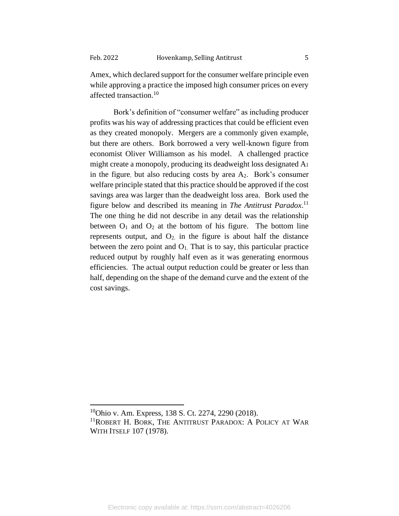Amex, which declared support for the consumer welfare principle even while approving a practice the imposed high consumer prices on every affected transaction.<sup>10</sup>

Bork's definition of "consumer welfare" as including producer profits was his way of addressing practices that could be efficient even as they created monopoly. Mergers are a commonly given example, but there are others. Bork borrowed a very well-known figure from economist Oliver Williamson as his model. A challenged practice might create a monopoly, producing its deadweight loss designated A<sup>1</sup> in the figure, but also reducing costs by area  $A_2$ . Bork's consumer welfare principle stated that this practice should be approved if the cost savings area was larger than the deadweight loss area. Bork used the figure below and described its meaning in *The Antitrust Paradox*. 11 The one thing he did not describe in any detail was the relationship between  $O_1$  and  $O_2$  at the bottom of his figure. The bottom line represents output, and  $O_2$  in the figure is about half the distance between the zero point and  $O<sub>1</sub>$ . That is to say, this particular practice reduced output by roughly half even as it was generating enormous efficiencies. The actual output reduction could be greater or less than half, depending on the shape of the demand curve and the extent of the cost savings.

<sup>&</sup>lt;sup>10</sup>Ohio v. Am. Express, 138 S. Ct. 2274, 2290 (2018). <sup>11</sup>ROBERT H. BORK, THE ANTITRUST PARADOX: A POLICY AT WAR WITH ITSELF 107 (1978).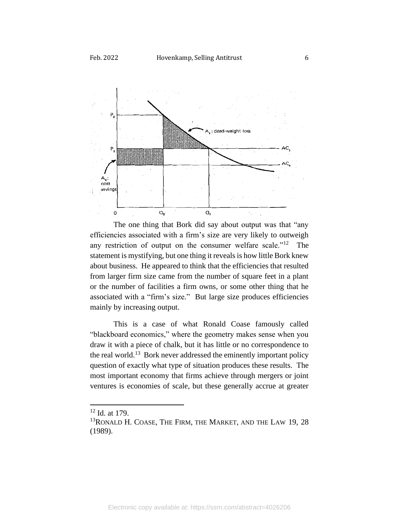

The one thing that Bork did say about output was that "any efficiencies associated with a firm's size are very likely to outweigh any restriction of output on the consumer welfare scale."<sup>12</sup> The statement is mystifying, but one thing it reveals is how little Bork knew about business. He appeared to think that the efficiencies that resulted from larger firm size came from the number of square feet in a plant or the number of facilities a firm owns, or some other thing that he associated with a "firm's size." But large size produces efficiencies mainly by increasing output.

This is a case of what Ronald Coase famously called "blackboard economics," where the geometry makes sense when you draw it with a piece of chalk, but it has little or no correspondence to the real world.<sup>13</sup> Bork never addressed the eminently important policy question of exactly what type of situation produces these results. The most important economy that firms achieve through mergers or joint ventures is economies of scale, but these generally accrue at greater

<sup>12</sup> Id. at 179.

 $13$ RONALD H. COASE, THE FIRM, THE MARKET, AND THE LAW 19, 28 (1989).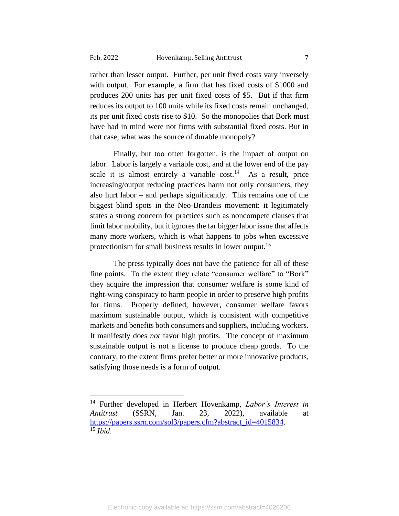rather than lesser output. Further, per unit fixed costs vary inversely with output. For example, a firm that has fixed costs of \$1000 and produces 200 units has per unit fixed costs of \$5. But if that firm reduces its output to 100 units while its fixed costs remain unchanged, its per unit fixed costs rise to \$10. So the monopolies that Bork must have had in mind were not firms with substantial fixed costs. But in that case, what was the source of durable monopoly?

Finally, but too often forgotten, is the impact of output on labor. Labor is largely a variable cost, and at the lower end of the pay scale it is almost entirely a variable  $cost<sup>14</sup>$ . As a result, price increasing/output reducing practices harm not only consumers, they also hurt labor – and perhaps significantly. This remains one of the biggest blind spots in the Neo-Brandeis movement: it legitimately states a strong concern for practices such as noncompete clauses that limit labor mobility, but it ignores the far bigger labor issue that affects many more workers, which is what happens to jobs when excessive protectionism for small business results in lower output.<sup>15</sup>

The press typically does not have the patience for all of these fine points. To the extent they relate "consumer welfare" to "Bork" they acquire the impression that consumer welfare is some kind of right-wing conspiracy to harm people in order to preserve high profits for firms. Properly defined, however, consumer welfare favors maximum sustainable output, which is consistent with competitive markets and benefits both consumers and suppliers, including workers. It manifestly does *not* favor high profits. The concept of maximum sustainable output is not a license to produce cheap goods. To the contrary, to the extent firms prefer better or more innovative products, satisfying those needs is a form of output.

<sup>14</sup> Further developed in Herbert Hovenkamp, *Labor's Interest in Antitrust* (SSRN, Jan. 23, 2022), available at [https://papers.ssrn.com/sol3/papers.cfm?abstract\\_id=4015834.](https://papers.ssrn.com/sol3/papers.cfm?abstract_id=4015834) <sup>15</sup> *Ibid*.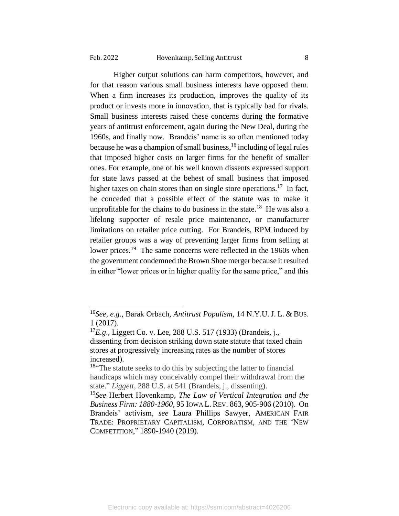Higher output solutions can harm competitors, however, and for that reason various small business interests have opposed them. When a firm increases its production, improves the quality of its product or invests more in innovation, that is typically bad for rivals. Small business interests raised these concerns during the formative years of antitrust enforcement, again during the New Deal, during the 1960s, and finally now. Brandeis' name is so often mentioned today because he was a champion of small business, <sup>16</sup> including of legal rules that imposed higher costs on larger firms for the benefit of smaller ones. For example, one of his well known dissents expressed support for state laws passed at the behest of small business that imposed higher taxes on chain stores than on single store operations.<sup>17</sup> In fact, he conceded that a possible effect of the statute was to make it unprofitable for the chains to do business in the state.<sup>18</sup> He was also a lifelong supporter of resale price maintenance, or manufacturer limitations on retailer price cutting. For Brandeis, RPM induced by retailer groups was a way of preventing larger firms from selling at lower prices.<sup>19</sup> The same concerns were reflected in the 1960s when the government condemned the Brown Shoe merger because it resulted in either "lower prices or in higher quality for the same price," and this

<sup>16</sup>*See, e.g*., Barak Orbach, *Antitrust Populism*, 14 N.Y.U. J. L. & BUS. 1 (2017).

<sup>17</sup>*E.g*., Liggett Co. v. Lee, 288 U.S. 517 (1933) (Brandeis, j., dissenting from decision striking down state statute that taxed chain stores at progressively increasing rates as the number of stores increased).

<sup>&</sup>lt;sup>18"</sup>The statute seeks to do this by subjecting the latter to financial handicaps which may conceivably compel their withdrawal from the state." *Liggett*, 288 U.S. at 541 (Brandeis, j., dissenting).

<sup>19</sup>*See* Herbert Hovenkamp, *The Law of Vertical Integration and the Business Firm: 1880-1960*, 95 IOWA L. REV. 863, 905-906 (2010). On Brandeis' activism, *see* Laura Phillips Sawyer, AMERICAN FAIR TRADE: PROPRIETARY CAPITALISM, CORPORATISM, AND THE 'NEW COMPETITION," 1890-1940 (2019).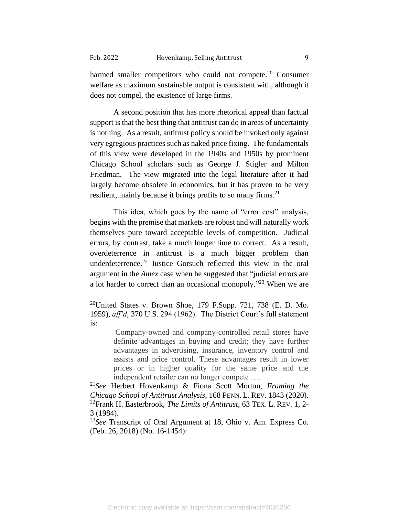harmed smaller competitors who could not compete.<sup>20</sup> Consumer welfare as maximum sustainable output is consistent with, although it does not compel, the existence of large firms.

A second position that has more rhetorical appeal than factual support is that the best thing that antitrust can do in areas of uncertainty is nothing. As a result, antitrust policy should be invoked only against very egregious practices such as naked price fixing. The fundamentals of this view were developed in the 1940s and 1950s by prominent Chicago School scholars such as George J. Stigler and Milton Friedman. The view migrated into the legal literature after it had largely become obsolete in economics, but it has proven to be very resilient, mainly because it brings profits to so many firms.<sup>21</sup>

This idea, which goes by the name of "error cost" analysis, begins with the premise that markets are robust and will naturally work themselves pure toward acceptable levels of competition. Judicial errors, by contrast, take a much longer time to correct. As a result, overdeterrence in antitrust is a much bigger problem than underdeterrence.<sup>22</sup> Justice Gorsuch reflected this view in the oral argument in the *Amex* case when he suggested that "judicial errors are a lot harder to correct than an occasional monopoly."<sup>23</sup> When we are

Company-owned and company-controlled retail stores have definite advantages in buying and credit; they have further advantages in advertising, insurance, inventory control and assists and price control. These advantages result in lower prices or in higher quality for the same price and the independent retailer can no longer compete ….

<sup>&</sup>lt;sup>20</sup>United States v. Brown Shoe, 179 F.Supp. 721, 738 (E. D. Mo. 1959), *aff'd*, 370 U.S. 294 (1962). The District Court's full statement is:

<sup>21</sup>*See* Herbert Hovenkamp & Fiona Scott Morton, *Framing the Chicago School of Antitrust Analysis*, 168 PENN. L. REV. 1843 (2020). <sup>22</sup>Frank H. Easterbrook, *The Limits of Antitrust*, 63 TEX. L. REV. 1, 2- 3 (1984).

<sup>23</sup>*See* Transcript of Oral Argument at 18, Ohio v. Am. Express Co. (Feb. 26, 2018) (No. 16-1454):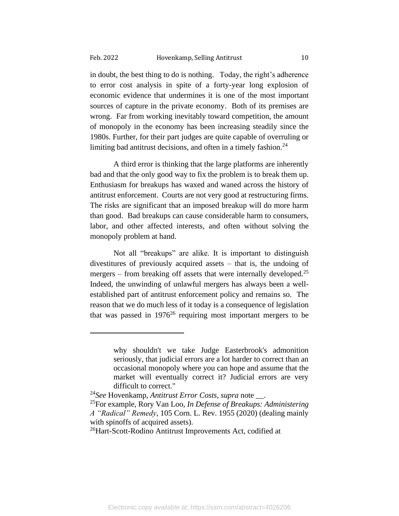in doubt, the best thing to do is nothing. Today, the right's adherence to error cost analysis in spite of a forty-year long explosion of economic evidence that undermines it is one of the most important sources of capture in the private economy. Both of its premises are wrong. Far from working inevitably toward competition, the amount of monopoly in the economy has been increasing steadily since the 1980s. Further, for their part judges are quite capable of overruling or limiting bad antitrust decisions, and often in a timely fashion.<sup>24</sup>

A third error is thinking that the large platforms are inherently bad and that the only good way to fix the problem is to break them up. Enthusiasm for breakups has waxed and waned across the history of antitrust enforcement. Courts are not very good at restructuring firms. The risks are significant that an imposed breakup will do more harm than good. Bad breakups can cause considerable harm to consumers, labor, and other affected interests, and often without solving the monopoly problem at hand.

Not all "breakups" are alike. It is important to distinguish divestitures of previously acquired assets – that is, the undoing of mergers – from breaking off assets that were internally developed.<sup>25</sup> Indeed, the unwinding of unlawful mergers has always been a wellestablished part of antitrust enforcement policy and remains so. The reason that we do much less of it today is a consequence of legislation that was passed in  $1976^{26}$  requiring most important mergers to be

why shouldn't we take Judge Easterbrook's admonition seriously, that judicial errors are a lot harder to correct than an occasional monopoly where you can hope and assume that the market will eventually correct it? Judicial errors are very difficult to correct."

<sup>24</sup>*See* Hovenkamp, *Antitrust Error Costs*, *supra* note \_\_.

<sup>25</sup>For example, Rory Van Loo, *In Defense of Breakups: Administering A "Radical" Remedy*, 105 Corn. L. Rev. 1955 (2020) (dealing mainly with spinoffs of acquired assets).

<sup>26</sup>Hart-Scott-Rodino Antitrust Improvements Act, codified at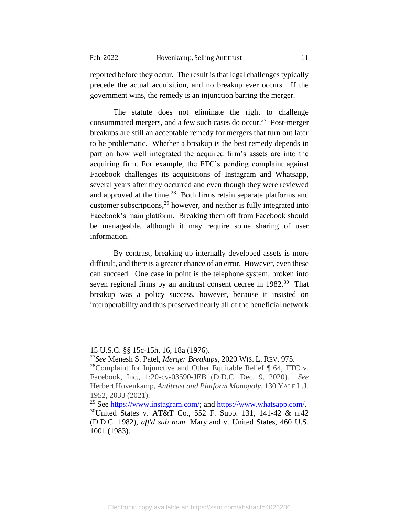reported before they occur. The result is that legal challenges typically precede the actual acquisition, and no breakup ever occurs. If the government wins, the remedy is an injunction barring the merger.

The statute does not eliminate the right to challenge consummated mergers, and a few such cases do occur.<sup>27</sup> Post-merger breakups are still an acceptable remedy for mergers that turn out later to be problematic. Whether a breakup is the best remedy depends in part on how well integrated the acquired firm's assets are into the acquiring firm. For example, the FTC's pending complaint against Facebook challenges its acquisitions of Instagram and Whatsapp, several years after they occurred and even though they were reviewed and approved at the time.<sup>28</sup> Both firms retain separate platforms and customer subscriptions, <sup>29</sup> however, and neither is fully integrated into Facebook's main platform. Breaking them off from Facebook should be manageable, although it may require some sharing of user information.

By contrast, breaking up internally developed assets is more difficult, and there is a greater chance of an error. However, even these can succeed. One case in point is the telephone system, broken into seven regional firms by an antitrust consent decree in 1982.<sup>30</sup> That breakup was a policy success, however, because it insisted on interoperability and thus preserved nearly all of the beneficial network

<sup>15</sup> U.S.C. §§ 15c-15h, 16, 18a (1976).

<sup>27</sup>*See* Menesh S. Patel, *Merger Breakups*, 2020 WIS. L. REV. 975. <sup>28</sup>Complaint for Injunctive and Other Equitable Relief  $\P$  64, FTC v. Facebook, Inc., 1:20-cv-03590-JEB (D.D.C. Dec. 9, 2020). *See* Herbert Hovenkamp, *Antitrust and Platform Monopoly*, 130 YALE L.J. 1952, 2033 (2021).

<sup>&</sup>lt;sup>29</sup> See [https://www.instagram.com/;](https://www.instagram.com/) and [https://www.whatsapp.com/.](https://www.whatsapp.com/) <sup>30</sup>United States v. AT&T Co., 552 F. Supp. 131, 141-42 & n.42 (D.D.C. 1982), *aff'd sub nom.* Maryland v. United States, 460 U.S. 1001 (1983).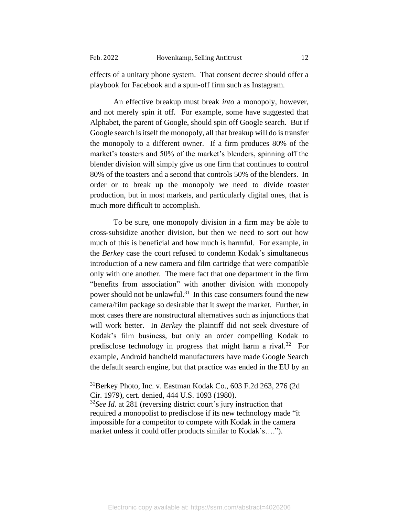effects of a unitary phone system. That consent decree should offer a playbook for Facebook and a spun-off firm such as Instagram.

An effective breakup must break *into* a monopoly, however, and not merely spin it off. For example, some have suggested that Alphabet, the parent of Google, should spin off Google search. But if Google search is itself the monopoly, all that breakup will do is transfer the monopoly to a different owner. If a firm produces 80% of the market's toasters and 50% of the market's blenders, spinning off the blender division will simply give us one firm that continues to control 80% of the toasters and a second that controls 50% of the blenders. In order or to break up the monopoly we need to divide toaster production, but in most markets, and particularly digital ones, that is much more difficult to accomplish.

To be sure, one monopoly division in a firm may be able to cross-subsidize another division, but then we need to sort out how much of this is beneficial and how much is harmful. For example, in the *Berkey* case the court refused to condemn Kodak's simultaneous introduction of a new camera and film cartridge that were compatible only with one another. The mere fact that one department in the firm "benefits from association" with another division with monopoly power should not be unlawful.<sup>31</sup> In this case consumers found the new camera/film package so desirable that it swept the market. Further, in most cases there are nonstructural alternatives such as injunctions that will work better. In *Berkey* the plaintiff did not seek divesture of Kodak's film business, but only an order compelling Kodak to predisclose technology in progress that might harm a rival.<sup>32</sup> For example, Android handheld manufacturers have made Google Search the default search engine, but that practice was ended in the EU by an

<sup>31</sup>Berkey Photo, Inc. v. Eastman Kodak Co., 603 F.2d 263, 276 (2d Cir. 1979), cert. denied, 444 U.S. 1093 (1980).

<sup>32</sup>*See Id*. at 281 (reversing district court's jury instruction that required a monopolist to predisclose if its new technology made "it impossible for a competitor to compete with Kodak in the camera market unless it could offer products similar to Kodak's….").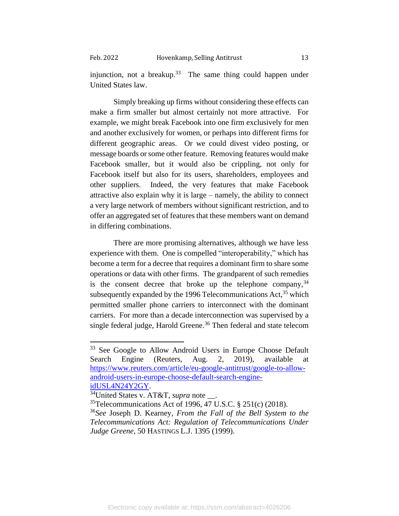injunction, not a breakup.<sup>33</sup> The same thing could happen under United States law.

 Simply breaking up firms without considering these effects can make a firm smaller but almost certainly not more attractive. For example, we might break Facebook into one firm exclusively for men and another exclusively for women, or perhaps into different firms for different geographic areas. Or we could divest video posting, or message boards or some other feature. Removing features would make Facebook smaller, but it would also be crippling, not only for Facebook itself but also for its users, shareholders, employees and other suppliers. Indeed, the very features that make Facebook attractive also explain why it is large – namely, the ability to connect a very large network of members without significant restriction, and to offer an aggregated set of features that these members want on demand in differing combinations.

There are more promising alternatives, although we have less experience with them. One is compelled "interoperability," which has become a term for a decree that requires a dominant firm to share some operations or data with other firms. The grandparent of such remedies is the consent decree that broke up the telephone company,  $34$ subsequently expanded by the 1996 Telecommunications  $Act<sub>1</sub><sup>35</sup>$  which permitted smaller phone carriers to interconnect with the dominant carriers. For more than a decade interconnection was supervised by a single federal judge, Harold Greene. <sup>36</sup> Then federal and state telecom

<sup>&</sup>lt;sup>33</sup> See Google to Allow Android Users in Europe Choose Default Search Engine (Reuters, Aug. 2, 2019), available at [https://www.reuters.com/article/eu-google-antitrust/google-to-allow](https://www.reuters.com/article/eu-google-antitrust/google-to-allow-android-users-in-europe-choose-default-search-engine-idUSL4N24Y2GY)[android-users-in-europe-choose-default-search-engine](https://www.reuters.com/article/eu-google-antitrust/google-to-allow-android-users-in-europe-choose-default-search-engine-idUSL4N24Y2GY)[idUSL4N24Y2GY.](https://www.reuters.com/article/eu-google-antitrust/google-to-allow-android-users-in-europe-choose-default-search-engine-idUSL4N24Y2GY)

<sup>34</sup>United States v. AT&T, *supra* note \_\_.

 $35$ Telecommunications Act of 1996, 47 U.S.C. § 251(c) (2018).

<sup>36</sup>*See* Joseph D. Kearney, *From the Fall of the Bell System to the Telecommunications Act: Regulation of Telecommunications Under Judge Greene*, 50 HASTINGS L.J. 1395 (1999).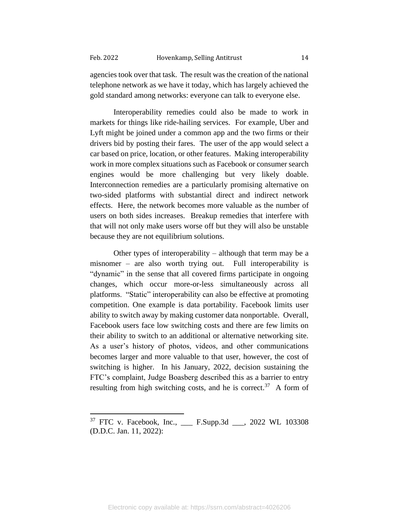agencies took over that task. The result was the creation of the national telephone network as we have it today, which has largely achieved the gold standard among networks: everyone can talk to everyone else.

Interoperability remedies could also be made to work in markets for things like ride-hailing services. For example, Uber and Lyft might be joined under a common app and the two firms or their drivers bid by posting their fares. The user of the app would select a car based on price, location, or other features. Making interoperability work in more complex situations such as Facebook or consumer search engines would be more challenging but very likely doable. Interconnection remedies are a particularly promising alternative on two-sided platforms with substantial direct and indirect network effects. Here, the network becomes more valuable as the number of users on both sides increases. Breakup remedies that interfere with that will not only make users worse off but they will also be unstable because they are not equilibrium solutions.

Other types of interoperability – although that term may be a misnomer – are also worth trying out. Full interoperability is "dynamic" in the sense that all covered firms participate in ongoing changes, which occur more-or-less simultaneously across all platforms. "Static" interoperability can also be effective at promoting competition. One example is data portability. Facebook limits user ability to switch away by making customer data nonportable. Overall, Facebook users face low switching costs and there are few limits on their ability to switch to an additional or alternative networking site. As a user's history of photos, videos, and other communications becomes larger and more valuable to that user, however, the cost of switching is higher. In his January, 2022, decision sustaining the FTC's complaint, Judge Boasberg described this as a barrier to entry resulting from high switching costs, and he is correct.<sup>37</sup> A form of

<sup>37</sup> FTC v. Facebook, Inc., \_\_\_ F.Supp.3d \_\_\_, 2022 WL 103308 (D.D.C. Jan. 11, 2022):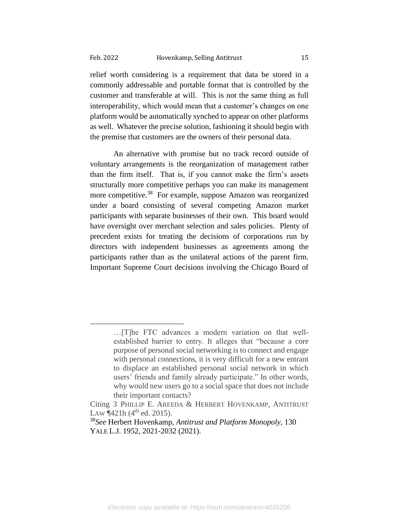relief worth considering is a requirement that data be stored in a commonly addressable and portable format that is controlled by the customer and transferable at will. This is not the same thing as full interoperability, which would mean that a customer's changes on one platform would be automatically synched to appear on other platforms as well. Whatever the precise solution, fashioning it should begin with the premise that customers are the owners of their personal data.

An alternative with promise but no track record outside of voluntary arrangements is the reorganization of management rather than the firm itself. That is, if you cannot make the firm's assets structurally more competitive perhaps you can make its management more competitive.<sup>38</sup> For example, suppose Amazon was reorganized under a board consisting of several competing Amazon market participants with separate businesses of their own. This board would have oversight over merchant selection and sales policies. Plenty of precedent exists for treating the decisions of corporations run by directors with independent businesses as agreements among the participants rather than as the unilateral actions of the parent firm. Important Supreme Court decisions involving the Chicago Board of

<sup>…[</sup>T]he FTC advances a modern variation on that wellestablished barrier to entry. It alleges that "because a core purpose of personal social networking is to connect and engage with personal connections, it is very difficult for a new entrant to displace an established personal social network in which users' friends and family already participate." In other words, why would new users go to a social space that does not include their important contacts?

Citing 3 PHILLIP E. AREEDA & HERBERT HOVENKAMP, ANTITRUST LAW  $\P$ 421h (4<sup>th</sup> ed. 2015).

<sup>38</sup>*See* Herbert Hovenkamp, *Antitrust and Platform Monopoly*, 130 YALE L.J. 1952, 2021-2032 (2021).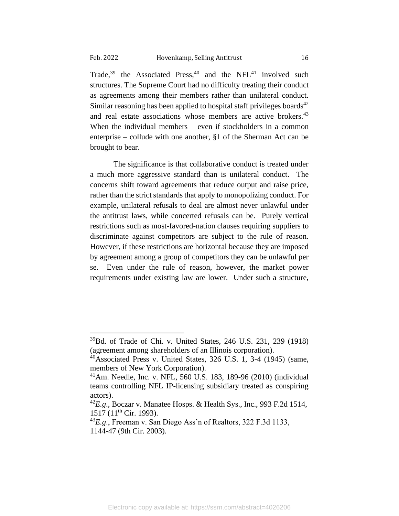Trade, $39$  the Associated Press, $40$  and the NFL $41$  involved such structures. The Supreme Court had no difficulty treating their conduct as agreements among their members rather than unilateral conduct. Similar reasoning has been applied to hospital staff privileges boards<sup>42</sup> and real estate associations whose members are active brokers.<sup>43</sup> When the individual members – even if stockholders in a common enterprise – collude with one another, §1 of the Sherman Act can be brought to bear.

The significance is that collaborative conduct is treated under a much more aggressive standard than is unilateral conduct. The concerns shift toward agreements that reduce output and raise price, rather than the strict standards that apply to monopolizing conduct. For example, unilateral refusals to deal are almost never unlawful under the antitrust laws, while concerted refusals can be. Purely vertical restrictions such as most-favored-nation clauses requiring suppliers to discriminate against competitors are subject to the rule of reason. However, if these restrictions are horizontal because they are imposed by agreement among a group of competitors they can be unlawful per se. Even under the rule of reason, however, the market power requirements under existing law are lower. Under such a structure,

<sup>39</sup>Bd. of Trade of Chi. v. United States, 246 U.S. 231, 239 (1918) (agreement among shareholders of an Illinois corporation).

 $^{40}$ Associated Press v. United States, 326 U.S. 1, 3-4 (1945) (same, members of New York Corporation).

<sup>41</sup>Am. Needle, Inc. v. NFL, 560 U.S. 183, 189-96 (2010) (individual teams controlling NFL IP-licensing subsidiary treated as conspiring actors).

<sup>42</sup>*E.g*., Boczar v. Manatee Hosps. & Health Sys., Inc., 993 F.2d 1514, 1517 (11<sup>th</sup> Cir. 1993).

<sup>43</sup>*E.g*., Freeman v. San Diego Ass'n of Realtors, 322 F.3d 1133, 1144-47 (9th Cir. 2003).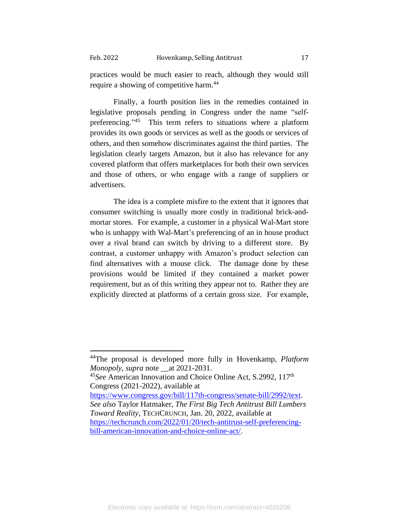practices would be much easier to reach, although they would still require a showing of competitive harm.<sup>44</sup>

Finally, a fourth position lies in the remedies contained in legislative proposals pending in Congress under the name "selfpreferencing."<sup>45</sup> This term refers to situations where a platform provides its own goods or services as well as the goods or services of others, and then somehow discriminates against the third parties. The legislation clearly targets Amazon, but it also has relevance for any covered platform that offers marketplaces for both their own services and those of others, or who engage with a range of suppliers or advertisers.

The idea is a complete misfire to the extent that it ignores that consumer switching is usually more costly in traditional brick-andmortar stores. For example, a customer in a physical Wal-Mart store who is unhappy with Wal-Mart's preferencing of an in house product over a rival brand can switch by driving to a different store. By contrast, a customer unhappy with Amazon's product selection can find alternatives with a mouse click. The damage done by these provisions would be limited if they contained a market power requirement, but as of this writing they appear not to. Rather they are explicitly directed at platforms of a certain gross size. For example,

[https://www.congress.gov/bill/117th-congress/senate-bill/2992/text.](https://www.congress.gov/bill/117th-congress/senate-bill/2992/text) *See also* Taylor Hatmaker, *The First Big Tech Antitrust Bill Lumbers Toward Reality*, TECHCRUNCH, Jan. 20, 2022, available at [https://techcrunch.com/2022/01/20/tech-antitrust-self-preferencing](https://techcrunch.com/2022/01/20/tech-antitrust-self-preferencing-bill-american-innovation-and-choice-online-act/)[bill-american-innovation-and-choice-online-act/.](https://techcrunch.com/2022/01/20/tech-antitrust-self-preferencing-bill-american-innovation-and-choice-online-act/)

<sup>44</sup>The proposal is developed more fully in Hovenkamp, *Platform Monopoly*, *supra* note \_\_at 2021-2031.

<sup>45</sup>*See* American Innovation and Choice Online Act, S.2992, 117th Congress (2021-2022), available at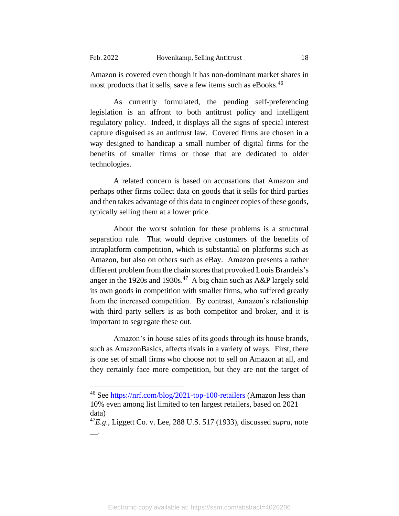Amazon is covered even though it has non-dominant market shares in most products that it sells, save a few items such as eBooks.<sup>46</sup>

As currently formulated, the pending self-preferencing legislation is an affront to both antitrust policy and intelligent regulatory policy. Indeed, it displays all the signs of special interest capture disguised as an antitrust law. Covered firms are chosen in a way designed to handicap a small number of digital firms for the benefits of smaller firms or those that are dedicated to older technologies.

A related concern is based on accusations that Amazon and perhaps other firms collect data on goods that it sells for third parties and then takes advantage of this data to engineer copies of these goods, typically selling them at a lower price.

About the worst solution for these problems is a structural separation rule. That would deprive customers of the benefits of intraplatform competition, which is substantial on platforms such as Amazon, but also on others such as eBay. Amazon presents a rather different problem from the chain stores that provoked Louis Brandeis's anger in the 1920s and 1930s. 47 A big chain such as A&P largely sold its own goods in competition with smaller firms, who suffered greatly from the increased competition. By contrast, Amazon's relationship with third party sellers is as both competitor and broker, and it is important to segregate these out.

Amazon's in house sales of its goods through its house brands, such as AmazonBasics, affects rivals in a variety of ways. First, there is one set of small firms who choose not to sell on Amazon at all, and they certainly face more competition, but they are not the target of

<sup>46</sup> See<https://nrf.com/blog/2021-top-100-retailers> (Amazon less than 10% even among list limited to ten largest retailers, based on 2021 data)

<sup>47</sup>*E.g*., Liggett Co. v. Lee, 288 U.S. 517 (1933), discussed *supra*, note  $\overline{\phantom{a}}$ .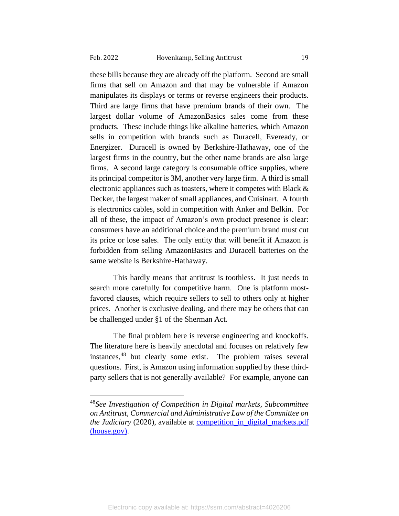these bills because they are already off the platform. Second are small firms that sell on Amazon and that may be vulnerable if Amazon manipulates its displays or terms or reverse engineers their products. Third are large firms that have premium brands of their own. The largest dollar volume of AmazonBasics sales come from these products. These include things like alkaline batteries, which Amazon sells in competition with brands such as Duracell, Eveready, or Energizer. Duracell is owned by Berkshire-Hathaway, one of the largest firms in the country, but the other name brands are also large firms. A second large category is consumable office supplies, where its principal competitor is 3M, another very large firm. A third is small electronic appliances such as toasters, where it competes with Black & Decker, the largest maker of small appliances, and Cuisinart. A fourth is electronics cables, sold in competition with Anker and Belkin. For all of these, the impact of Amazon's own product presence is clear: consumers have an additional choice and the premium brand must cut its price or lose sales. The only entity that will benefit if Amazon is forbidden from selling AmazonBasics and Duracell batteries on the same website is Berkshire-Hathaway.

This hardly means that antitrust is toothless. It just needs to search more carefully for competitive harm. One is platform mostfavored clauses, which require sellers to sell to others only at higher prices. Another is exclusive dealing, and there may be others that can be challenged under §1 of the Sherman Act.

The final problem here is reverse engineering and knockoffs. The literature here is heavily anecdotal and focuses on relatively few instances, <sup>48</sup> but clearly some exist. The problem raises several questions. First, is Amazon using information supplied by these thirdparty sellers that is not generally available? For example, anyone can

<sup>48</sup>*See Investigation of Competition in Digital markets, Subcommittee on Antitrust, Commercial and Administrative Law of the Committee on the Judiciary* (2020), available at [competition\\_in\\_digital\\_markets.pdf](https://judiciary.house.gov/uploadedfiles/competition_in_digital_markets.pdf)  [\(house.gov\).](https://judiciary.house.gov/uploadedfiles/competition_in_digital_markets.pdf)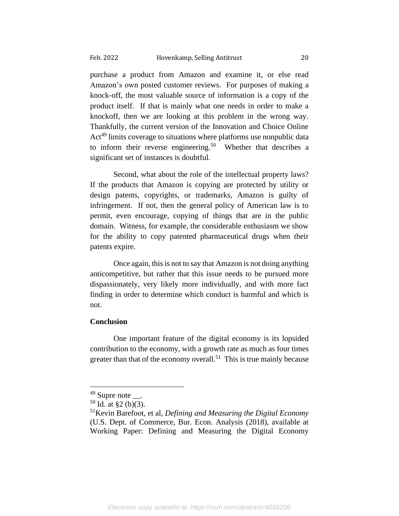purchase a product from Amazon and examine it, or else read Amazon's own posted customer reviews. For purposes of making a knock-off, the most valuable source of information is a copy of the product itself. If that is mainly what one needs in order to make a knockoff, then we are looking at this problem in the wrong way. Thankfully, the current version of the Innovation and Choice Online Act<sup>49</sup> limits coverage to situations where platforms use nonpublic data to inform their reverse engineering.<sup>50</sup> Whether that describes a significant set of instances is doubtful.

Second, what about the role of the intellectual property laws? If the products that Amazon is copying are protected by utility or design patents, copyrights, or trademarks, Amazon is guilty of infringement. If not, then the general policy of American law is to permit, even encourage, copying of things that are in the public domain. Witness, for example, the considerable enthusiasm we show for the ability to copy patented pharmaceutical drugs when their patents expire.

Once again, this is not to say that Amazon is not doing anything anticompetitive, but rather that this issue needs to be pursued more dispassionately, very likely more individually, and with more fact finding in order to determine which conduct is harmful and which is not.

### **Conclusion**

One important feature of the digital economy is its lopsided contribution to the economy, with a growth rate as much as four times greater than that of the economy overall.<sup>51</sup> This is true mainly because

 $49$  Supre note  $\qquad$ .

 $50$  Id. at §2 (b)(3).

<sup>51</sup>Kevin Barefoot, et al, *Defining and Measuring the Digital Economy* (U.S. Dept. of Commerce, Bur. Econ. Analysis (2018), available at Working Paper: Defining and Measuring the Digital Economy